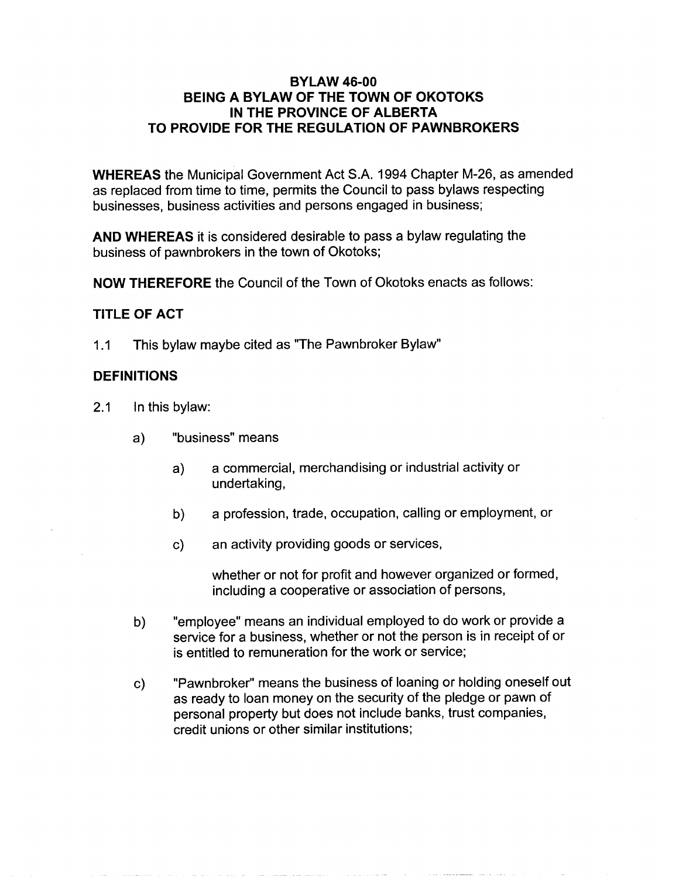### BYLAW 46-00 BEING A BYLAW OF THE TOWN OF OKOTOKS IN THE PROVINCE OF ALBERTA TO PROVIDE FOR THE REGULATION OF PAWNBROKERS

WHEREAS the Municipal Government Act S.A. 1994 Chapter M-26, as amended as replaced from time to time, permits the Council to pass bylaws respecting businesses, business activities and persons engaged in business;

AND WHEREAS it is considered desirable to pass <sup>a</sup> bylaw regulating the business of pawnbrokers in the town of Okotoks;

NOW THEREFORE the Council of the Town of Okotoks enacts as follows:

### TITLE OF ACT

1.1 This bylaw maybe cited as "The Pawnbroker Bylaw"

### DEFINITIONS

- 2.1 In this bylaw:
	- a) "business" means
		- a) <sup>a</sup> commercial, merchandising or industrial activity or undertaking,
		- b) <sup>a</sup> profession, trade, occupation, calling or employment, or
		- c) an activity providing goods or services,

whether or not for profit and however organized or formed, including <sup>a</sup> cooperative or association of persons,

- b) " employee" means an individual employed to do work or provide <sup>a</sup> service for <sup>a</sup> business, whether or not the person is in receipt of or is entitled to remuneration for the work or service;
- c) " Pawnbroker" means the business of loaning or holding oneself out as ready to loan money on the security of the pledge or pawn of personal property but does not include banks, trust companies, credit unions or other similar institutions;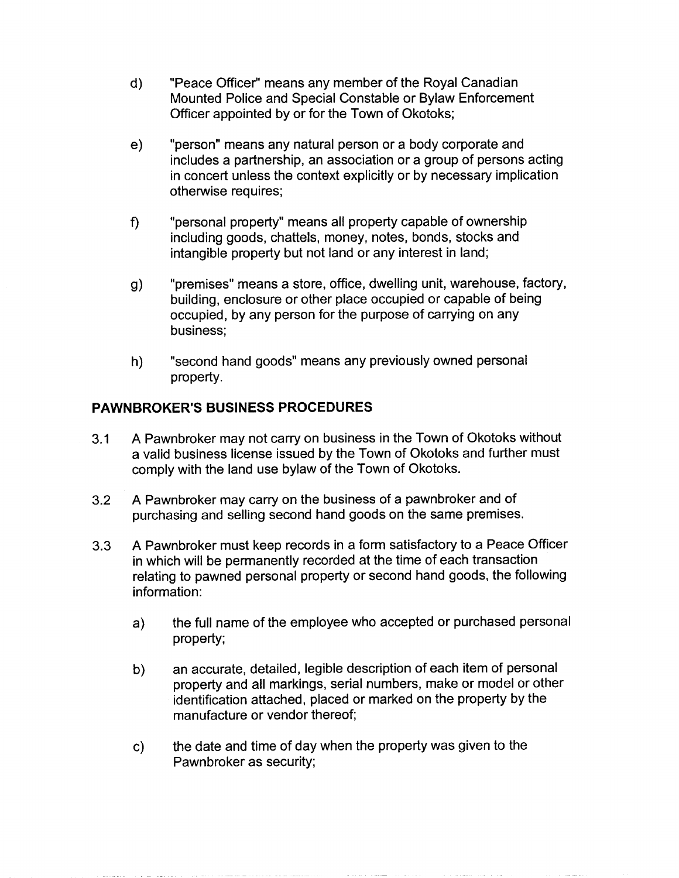- d) " Peace Officer" means any member of the Royal Canadian Mounted Police and Special Constable or Bylaw Enforcement Officer appointed by or for the Town of Okotoks;
- e) " person" means any natural person or <sup>a</sup> body corporate and includes <sup>a</sup> partnership, an association or <sup>a</sup> group of persons acting in concert unless the context explicitly or by necessary implication otherwise requires;
- f) " personal property" means all property capable of ownership including goods, chattels, money, notes, bonds, stocks and intangible property but not land or any interest in land;
- g) " premises" means <sup>a</sup> store, office, dwelling unit, warehouse, factory, building, enclosure or other place occupied or capable of being occupied, by any person for the purpose of carrying on any business;
- h) " second hand goods" means any previously owned personal property.

# PAWNBROKER'S BUSINESS PROCEDURES

- 3.1 A Pawnbroker may not carry on business in the Town of Okotoks without <sup>a</sup> valid business license issued by the Town of Okotoks and further must comply with the land use bylaw of the Town of Okotoks.
- 3.2 A Pawnbroker may carry on the business of <sup>a</sup> pawnbroker and of purchasing and selling second hand goods on the same premises.
- 3.3 A Pawnbroker must keep records in <sup>a</sup> form satisfactory to <sup>a</sup> Peace Officer in which will be permanently recorded at the time of each transaction relating to pawned personal property or second hand goods, the following information:
	- a) the full name of the employee who accepted or purchased personal property;
	- b) an accurate, detailed, legible description of each item of personal property and all markings, serial numbers, make or model or other identification attached, placed or marked on the property by the manufacture or vendor thereof;
	- c) the date and time of day when the property was given to the Pawnbroker as security;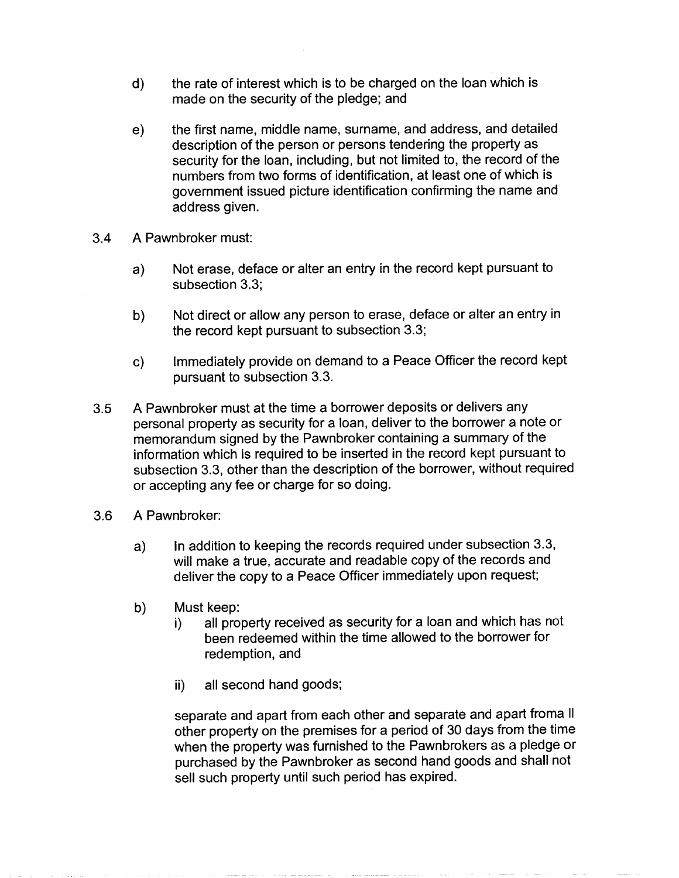- d) the rate of interest which is to be charged on the loan which is made on the security of the pledge; and
- e) the first name, middle name, surname, and address, and detailed description of the person or persons tendering the property as security for the loan, including, but not limited to, the record of the numbers from two forms of identification, at least one of which is government issued picture identification confirming the name and address given.
- 3.4 A Pawnbroker must:
	- a) Not erase, deface or alter an entry in the record kept pursuant to subsection 3.3;
	- b) Not direct or allow any person to erase, deface or alter an entry in the record kept pursuant to subsection 3.3;
	- c) Immediately provide on demand to <sup>a</sup> Peace Officer the record kept pursuant to subsection 3.3.
- 3.5 A Pawnbroker must at the time <sup>a</sup> borrower deposits or delivers any personal property as security for <sup>a</sup> loan, deliver to the borrower <sup>a</sup> note or memorandum signed by the Pawnbroker containing <sup>a</sup> summary of the information which is required to be inserted in the record kept pursuant to subsection 3.3, other than the description of the borrower, without required or accepting any fee or charge for so doing.
- 3.6 A Pawnbroker:
	- a) In addition to keeping the records required under subsection 3.3, will make <sup>a</sup> true, accurate and readable copy of the records and deliver the copy to <sup>a</sup> Peace Officer immediately upon request;
	- b) Must keep:<br>i) all pro
		- all property received as security for a loan and which has not been redeemed within the time allowed to the borrower for redemption, and
		- ii) all second hand goods;

separate and apart from each other and separate and apart froma II other property on the premises for <sup>a</sup> period of <sup>30</sup> days from the time when the property was furnished to the Pawnbrokers as <sup>a</sup> pledge or purchased by the Pawnbroker as second hand goods and shall not sell such property until such period has expired.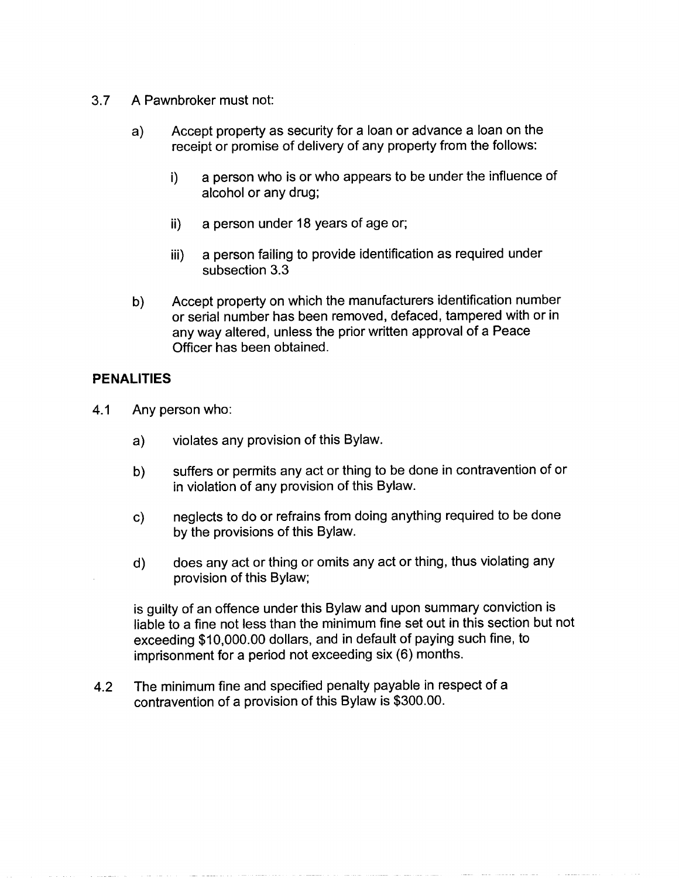- 3.7 A Pawnbroker must not:
	- a) Accept property as security for <sup>a</sup> loan or advance <sup>a</sup> loan on the receipt or promise of delivery of any property from the follows:
		- i) <sup>a</sup> person who is or who appears to be under the influence of alcohol or any drug;
		- ii) <sup>a</sup> person under <sup>18</sup> years of age or;
		- iii) <sup>a</sup> person failing to provide identification as required under subsection 3.3
	- b) Accept property on which the manufacturers identification number or serial number has been removed, defaced, tampered with or in any way altered, unless the prior written approval of <sup>a</sup> Peace Officer has been obtained.

## PENALITIES

- 4.1 Any person who:
	- a) violates any provision of this Bylaw.
	- b) suffers or permits any act or thing to be done in contravention of or in violation of any provision of this Bylaw.
	- c) neglects to do or refrains from doing anything required to be done by the provisions of this Bylaw.
	- d) does any act or thing or omits any act or thing, thus violating any provision of this Bylaw;

is guilty of an offence under this Bylaw and upon summary conviction is liable to a fine not less than the minimum fine set out in this section but not is guilty of an offence under this Bylaw and upon summary convictions in this section<br>liable to a fine not less than the minimum fine set out in this section<br>exceeding \$10,000.00 dollars, and in default of paying such fine exceeding \$10,000.00 dollars, and in default of paying such fine, to imprisonment for a period not exceeding six (6) months.

4.2 The minimum fine and specified penalty payable in respect of <sup>a</sup> contravention of <sup>a</sup> provision of this Bylaw is \$300.00.